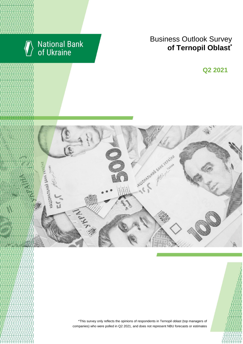

# National Bank<br>of Ukraine

# Business Outlook Survey **c**  $\blacksquare$  **of Ternopil Oblast**<sup>\*</sup>

**Q2 2018 Q2 2021**



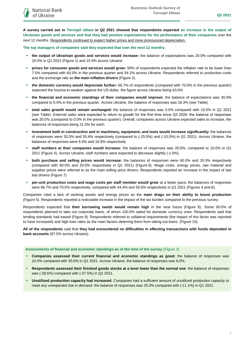**A survey carried out in Ternopil oblast in Q2 2021 showed that respondents expected an increase in the output of Ukrainian goods and services and that they had positive expectations for the performance of their companies** over the next 12 months. Respondents continued to expect higher prices and more pronounced depreciation.

**The top managers of companies said they expected that over the next 12 months:**

- **the output of Ukrainian goods and services would increase:** the balance of expectations was 20.0% compared with 10.0% in Q1 2021 (Figure 1) and 15.9% across Ukraine
- **prices for consumer goods and services would grow:** 50% of respondents expected the inflation rate to be lower than 7.5% compared with 60.0% in the previous quarter and 54.2% across Ukraine. Respondents referred to production costs and the exchange rate as **the main inflation drivers** (Figure 2).
- **the domestic currency would depreciate further:** 66.7% of respondents (compared with 70.0% in the previous quarter) expected the hryvnia to weaken against the US dollar, the figure across Ukraine being 63.6%
- **the financial and economic standings of their companies would improve**: the balance of expectations was 30.0% compared to 0.0% in the previous quarter. Across Ukraine, the balance of responses was 18.3% (see Table)
- **total sales growth would remain unchanged:** the balance of responses was 0.0% compared with 10.0% in Q1 2021 (see Table). External sales were expected to return to growth for the first time since Q3 2020: the balance of responses was 20.0% (compared to 0.0% in the previous quarter). Overall, companies across Ukraine expected sales to increase, the balances of responses being 21.0% for each.
- **investment both in construction and in machinery, equipment, and tools would increase significantly:** the balances of responses were 33.3% and 55.6% respectively (compared to (-25.0%) and (-10.0%) in Q1 2021). Across Ukraine, the balances of responses were 6.4% and 16.9% respectively
- **staff numbers at their companies would increase:** the balance of responses was 20.0%, compared to 10.0% in Q1 2021 (Figure 4). Across Ukraine, staff numbers were expected to decrease slightly (-1.0%)
- **both purchase and selling prices would increase:** the balances of responses were 60.0% and 33.3% respectively (compared with 60.0% and 20.0% respectively in Q1 2021) (Figure 6). Wage costs, energy prices, raw material and supplies prices were referred to as the main selling price drivers. Respondents reported an increase in the impact of two last drivers (Figure 7)
- **per-unit production costs and wage costs per staff member would grow** at a faster pace**:** the balances of responses were 66.7% and 70.0% respectively, compared with 44.4% and 55.6% respectively in Q1 2021 (Figures 4 and 6).

Companies cited a lack of working assets and energy prices as the **main drags on their ability to boost production** (Figure 5). Respondents reported a noticeable increase in the impact of the tax burden compared to the previous survey.

Respondents expected that **their borrowing needs would remain high** in the near future (Figure 8). Some 50.0% of respondents planned to take out corporate loans, of whom 100.0% opted for domestic currency ones. Respondents said that lending standards had eased (Figure 9). Respondents referred to collateral requirements (the impact of this factor was reported to have increased) and high loan rates as the main factors deterring them from taking out loans. (Figure 10).

**All of the respondents** said that **they had encountered no difficulties in effecting transactions with funds deposited in bank accounts** (97.5% across Ukraine).

#### **Assessments of financial and economic standings as of the time of the survey** (Figure 3)

- **Companies assessed their current financial and economic standings as good:** the balance of responses was 10.0% compared with 30.0% in Q1 2021. Across Ukraine, the balance of responses was 6.0%.
- **Respondents assessed their finished goods stocks at a level lower than the normal one**: the balance of responses was (-28.6%) compared with (-37.5%) in Q1 2021.
- **Unutilized production capacity had increased.** Companies had a sufficient amount of unutilized production capacity to meet any unexpected rise in demand: the balance of responses was 25.0% compared with (-11.1%) in Q1 2021.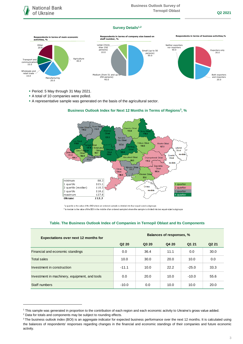### **Survey Details1,2**



- Period: 5 May through 31 May 2021.
- A total of 10 companies were polled.

minimum

1 quartile

3 quartile

maximum

**Ukraine** 

2 quartile (median)

A representative sample was generated on the basis of the agricultural sector.

#### $\sim$   $\sim$ iyn Ot<br>116.2 110.5  $103.8$ 118  $121.5$ Kyiv and<br>Kyiv Oblast .<br>Kharkiy Oblas  $117.4$ ava<br>104.6  $107.1$ Luhansk<br>Coblast  $1231$  $98.7$ Oblas<br>118.5 no data Donets Kirovohrad Oblast  $109.1$ Dnipropetrovsk Oblast Ohlad Cher<br>111.7 88.3  $110.2$

kolaiv Ob<br>111.7

 $\mathcal{L}$ 

93.6

Crimea

أروب

no dat

7 aporizhi

 $109.4$ 

1 quarter

2 quarter

3 quarter

4 quarte

**Business Outlook Index for Next 12 Months in Terms of Regions<sup>3</sup> , %** 

\*a quartile is the value of the BOI where an ordered sample is divided into four equal-sized subgroups \*\*a median is the value of the BOI in the middle of an ordered sampled where the sample is divided into two equal-sized subgroups

Odesa  $Ohlad$ 

 $883$ 

1051

110.3

118.2

127.8

112.3

 $106.5$ 

#### **Table. The Business Outlook Index of Companies in Ternopil Oblast and Its Components**

| <b>Expectations over next 12 months for</b>   | <b>Balances of responses, %</b> |       |       |         |                   |
|-----------------------------------------------|---------------------------------|-------|-------|---------|-------------------|
|                                               | Q <sub>2</sub> 2 <sub>0</sub>   | Q3 20 | Q4 20 | Q1 21   | Q <sub>2</sub> 21 |
| Financial and economic standings              | 0.0                             | 36.4  | 11.1  | 0.0     | 30.0              |
| <b>Total sales</b>                            | 10.0                            | 30.0  | 20.0  | 10.0    | 0.0               |
| Investment in construction                    | $-11.1$                         | 10.0  | 22.2  | $-25.0$ | 33.3              |
| Investment in machinery, equipment, and tools | 0.0                             | 20.0  | 10.0  | $-10.0$ | 55.6              |
| Staff numbers                                 | $-10.0$                         | 0.0   | 10.0  | 10.0    | 20.0              |

1

<sup>1</sup> This sample was generated in proportion to the contribution of each region and each economic activity to Ukraine's gross value added.

<sup>2</sup> Data for totals and components may be subject to rounding effects.

<sup>&</sup>lt;sup>3</sup> The business outlook index (BOI) is an aggregate indicator for expected business performance over the next 12 months. It is calculated using the balances of respondents' responses regarding changes in the financial and economic standings of their companies and future economic activity.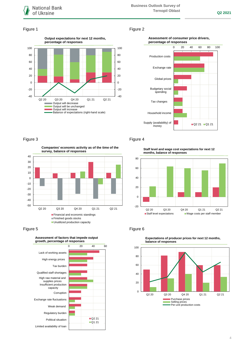

## Figure 1 Figure 2



#### **Assessment of consumer price drivers, percentage of responses**



**Companies' economic activity as of the time of the survey, balance of responses**



Figure 5 **Figure 6** 



## Figure 3 **Figure 4**

**Staff level and wage cost expectations for next 12 months, balance of responses**





**Expectations of producer prices for next 12 months,**